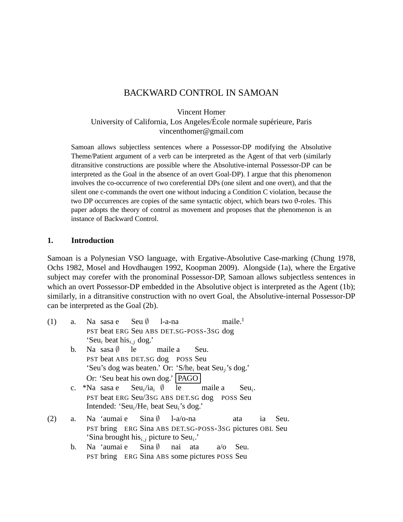# BACKWARD CONTROL IN SAMOAN

Vincent Homer

University of California, Los Angeles/École normale supérieure, Paris vincenthomer@gmail.com

Samoan allows subjectless sentences where a Possessor-DP modifying the Absolutive Theme/Patient argument of a verb can be interpreted as the Agent of that verb (similarly ditransitive constructions are possible where the Absolutive-internal Possessor-DP can be interpreted as the Goal in the absence of an overt Goal-DP). I argue that this phenomenon involves the co-occurrence of two coreferential DPs (one silent and one overt), and that the silent one c-commands the overt one without inducing a Condition C violation, because the two DP occurrences are copies of the same syntactic object, which bears two θ-roles. This paper adopts the theory of control as movement and proposes that the phenomenon is an instance of Backward Control.

### **1. Introduction**

Samoan is a Polynesian VSO language, with Ergative-Absolutive Case-marking (Chung 1978, Ochs 1982, Mosel and Hovdhaugen 1992, Koopman 2009). Alongside (1a), where the Ergative subject may corefer with the pronominal Possessor-DP, Samoan allows subjectless sentences in which an overt Possessor-DP embedded in the Absolutive object is interpreted as the Agent (1b); similarly, in a ditransitive construction with no overt Goal, the Absolutive-internal Possessor-DP can be interpreted as the Goal (2b).

| (1) | a.                                                   | Na sasa e Seu $\emptyset$ 1-a-na                                                                                           |  |  |      | maile. <sup>1</sup> |          |    |      |  |  |  |
|-----|------------------------------------------------------|----------------------------------------------------------------------------------------------------------------------------|--|--|------|---------------------|----------|----|------|--|--|--|
|     | PST beat ERG Seu ABS DET.SG-POSS-3SG dog             |                                                                                                                            |  |  |      |                     |          |    |      |  |  |  |
|     |                                                      | 'Seu <sub>i</sub> beat his <sub>i,j</sub> dog.'                                                                            |  |  |      |                     |          |    |      |  |  |  |
|     | b.                                                   | Na sasa $\emptyset$ le maile a                                                                                             |  |  | Seu. |                     |          |    |      |  |  |  |
|     |                                                      | PST beat ABS DET.SG dog POSS Seu                                                                                           |  |  |      |                     |          |    |      |  |  |  |
|     |                                                      | 'Seu's dog was beaten.' Or: 'S/he <sub>i</sub> beat Seu <sub>i</sub> 's dog.'                                              |  |  |      |                     |          |    |      |  |  |  |
|     |                                                      | Or: 'Seu beat his own dog.'   PAGO                                                                                         |  |  |      |                     |          |    |      |  |  |  |
|     |                                                      | c. *Na sasa e Seu <sub>i</sub> /ia <sub>i</sub> $\emptyset$ le maile a                                                     |  |  |      |                     | $Seu_i.$ |    |      |  |  |  |
|     |                                                      | PST beat ERG Seu/3sG ABS DET.SG dog POSS Seu                                                                               |  |  |      |                     |          |    |      |  |  |  |
|     |                                                      | Intended: 'Seu <sub>i</sub> /He <sub>i</sub> beat Seu <sub>i</sub> 's dog.'                                                |  |  |      |                     |          |    |      |  |  |  |
| (2) |                                                      | a. Na 'aumai e $Sina \, \emptyset$ 1-a/o-na                                                                                |  |  |      |                     | ata      | 1a | Seu. |  |  |  |
|     |                                                      |                                                                                                                            |  |  |      |                     |          |    |      |  |  |  |
|     |                                                      | PST bring ERG Sina ABS DET.SG-POSS-3SG pictures OBL Seu<br>'Sina brought his <sub>i,j</sub> picture to Seu <sub>i</sub> .' |  |  |      |                     |          |    |      |  |  |  |
|     | b.                                                   | Na 'aumai e $Sina \, \emptyset$ nai ata                                                                                    |  |  |      | $a/\sigma$          | Seu.     |    |      |  |  |  |
|     |                                                      |                                                                                                                            |  |  |      |                     |          |    |      |  |  |  |
|     | <b>PST</b> bring ERG Sina ABS some pictures POSS Seu |                                                                                                                            |  |  |      |                     |          |    |      |  |  |  |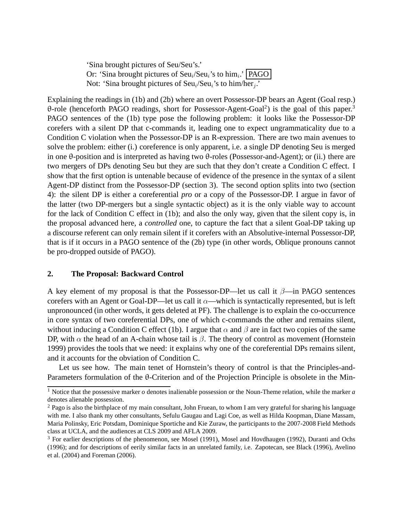'Sina brought pictures of Seu/Seu's.' Or: 'Sina brought pictures of  $\text{Seu}_i/\text{Seu}_i$ 's to him $_i$ .' **PAGO** Not: 'Sina brought pictures of  $Seu_i/Seu_i$ 's to him/her<sub>j</sub>.'

Explaining the readings in (1b) and (2b) where an overt Possessor-DP bears an Agent (Goal resp.) θ-role (henceforth PAGO readings, short for Possessor-Agent-Goal<sup>2</sup> ) is the goal of this paper.<sup>3</sup> PAGO sentences of the (1b) type pose the following problem: it looks like the Possessor-DP corefers with a silent DP that c-commands it, leading one to expect ungrammaticality due to a Condition C violation when the Possessor-DP is an R-expression. There are two main avenues to solve the problem: either (i.) coreference is only apparent, i.e. a single DP denoting Seu is merged in one θ-position and is interpreted as having two θ-roles (Possessor-and-Agent); or (ii.) there are two mergers of DPs denoting Seu but they are such that they don't create a Condition C effect. I show that the first option is untenable because of evidence of the presence in the syntax of a silent Agent-DP distinct from the Possessor-DP (section 3). The second option splits into two (section 4): the silent DP is either a coreferential *pro* or a copy of the Possessor-DP. I argue in favor of the latter (two DP-mergers but a single syntactic object) as it is the only viable way to account for the lack of Condition C effect in (1b); and also the only way, given that the silent copy is, in the proposal advanced here, a *controlled* one, to capture the fact that a silent Goal-DP taking up a discourse referent can only remain silent if it corefers with an Absolutive-internal Possessor-DP, that is if it occurs in a PAGO sentence of the (2b) type (in other words, Oblique pronouns cannot be pro-dropped outside of PAGO).

### **2. The Proposal: Backward Control**

A key element of my proposal is that the Possessor-DP—let us call it  $\beta$ —in PAGO sentences corefers with an Agent or Goal-DP—let us call it  $\alpha$ —which is syntactically represented, but is left unpronounced (in other words, it gets deleted at PF). The challenge is to explain the co-occurrence in core syntax of two coreferential DPs, one of which c-commands the other and remains silent, without inducing a Condition C effect (1b). I argue that  $\alpha$  and  $\beta$  are in fact two copies of the same DP, with  $\alpha$  the head of an A-chain whose tail is  $\beta$ . The theory of control as movement (Hornstein 1999) provides the tools that we need: it explains why one of the coreferential DPs remains silent, and it accounts for the obviation of Condition C.

Let us see how. The main tenet of Hornstein's theory of control is that the Principles-and-Parameters formulation of the θ-Criterion and of the Projection Principle is obsolete in the Min-

<sup>&</sup>lt;sup>1</sup> Notice that the possessive marker  $o$  denotes inalienable possession or the Noun-Theme relation, while the marker  $a$ denotes alienable possession.

<sup>&</sup>lt;sup>2</sup> Pago is also the birthplace of my main consultant, John Fruean, to whom I am very grateful for sharing his language with me. I also thank my other consultants, Sefulu Gaugau and Lagi Coe, as well as Hilda Koopman, Diane Massam, Maria Polinsky, Eric Potsdam, Dominique Sportiche and Kie Zuraw, the participants to the 2007-2008 Field Methods class at UCLA, and the audiences at CLS 2009 and AFLA 2009.

<sup>3</sup> For earlier descriptions of the phenomenon, see Mosel (1991), Mosel and Hovdhaugen (1992), Duranti and Ochs (1996); and for descriptions of eerily similar facts in an unrelated family, i.e. Zapotecan, see Black (1996), Avelino et al. (2004) and Foreman (2006).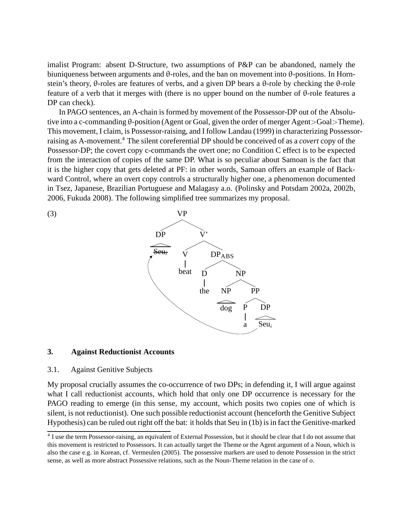imalist Program: absent D-Structure, two assumptions of P&P can be abandoned, namely the biuniqueness between arguments and θ-roles, and the ban on movement into θ-positions. In Hornstein's theory, θ-roles are features of verbs, and a given DP bears a θ-role by checking the θ-role feature of a verb that it merges with (there is no upper bound on the number of θ-role features a DP can check).

In PAGO sentences, an A-chain is formed by movement of the Possessor-DP out of the Absolutive into a c-commanding θ-position (Agent or Goal, given the order of merger Agent>Goal>Theme). This movement, I claim, is Possessor-raising, and I follow Landau (1999) in characterizing Possessorraising as A-movement.<sup>4</sup> The silent coreferential DP should be conceived of as a *covert* copy of the Possessor-DP; the covert copy c-commands the overt one; no Condition C effect is to be expected from the interaction of copies of the same DP. What is so peculiar about Samoan is the fact that it is the higher copy that gets deleted at PF: in other words, Samoan offers an example of Backward Control, where an overt copy controls a structurally higher one, a phenomenon documented in Tsez, Japanese, Brazilian Portuguese and Malagasy a.o. (Polinsky and Potsdam 2002a, 2002b, 2006, Fukuda 2008). The following simplified tree summarizes my proposal.



#### **3. Against Reductionist Accounts**

#### 3.1. Against Genitive Subjects

My proposal crucially assumes the co-occurrence of two DPs; in defending it, I will argue against what I call reductionist accounts, which hold that only one DP occurrence is necessary for the PAGO reading to emerge (in this sense, my account, which posits two copies one of which is silent, is not reductionist). One such possible reductionist account (henceforth the Genitive Subject Hypothesis) can be ruled out right off the bat: it holds that Seu in (1b) is in fact the Genitive-marked

<sup>&</sup>lt;sup>4</sup> I use the term Possessor-raising, an equivalent of External Possession, but it should be clear that I do not assume that this movement is restricted to Possessors. It can actually target the Theme or the Agent argument of a Noun, which is also the case e.g. in Korean, cf. Vermeulen (2005). The possessive markers are used to denote Possession in the strict sense, as well as more abstract Possessive relations, such as the Noun-Theme relation in the case of *o.*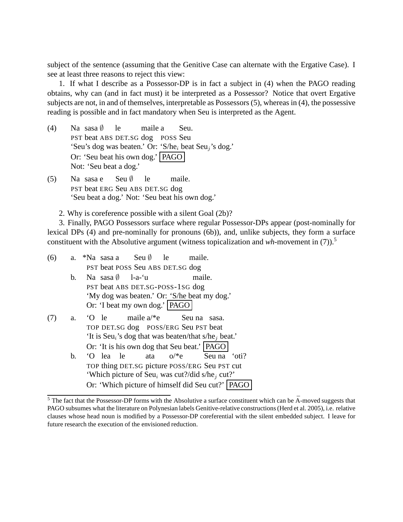subject of the sentence (assuming that the Genitive Case can alternate with the Ergative Case). I see at least three reasons to reject this view:

1. If what I describe as a Possessor-DP is in fact a subject in (4) when the PAGO reading obtains, why can (and in fact must) it be interpreted as a Possessor? Notice that overt Ergative subjects are not, in and of themselves, interpretable as Possessors (5), whereas in (4), the possessive reading is possible and in fact mandatory when Seu is interpreted as the Agent.

- $(4)$ PST beat ABS DET.SG dog POSS Seu sasa ∅ le maile a Seu. 'Seu's dog was beaten.' Or: 'S/he<sub>i</sub> beat Seu<sub>j</sub>'s dog.' Or: 'Seu beat his own dog.' PAGO Not: 'Seu beat a dog.'
- $(5)$ PST beat ERG Seu ABS DET.SG dog sasa e Seu ∅ le maile. 'Seu beat a dog.' Not: 'Seu beat his own dog.'

2. Why is coreference possible with a silent Goal (2b)?

3. Finally, PAGO Possessors surface where regular Possessor-DPs appear (post-nominally for lexical DPs (4) and pre-nominally for pronouns (6b)), and, unlike subjects, they form a surface constituent with the Absolutive argument (witness topicalization and *wh-*movement in (7)).<sup>5</sup>

| (6) | a. | Seu $\emptyset$<br>le<br>*Na sasa a<br>maile.                                |  |  |  |  |  |  |  |
|-----|----|------------------------------------------------------------------------------|--|--|--|--|--|--|--|
|     |    | PST beat POSS Seu ABS DET.SG dog                                             |  |  |  |  |  |  |  |
|     | b. | Na sasa $\emptyset$<br>l-a-ʻu<br>maile.                                      |  |  |  |  |  |  |  |
|     |    | PST beat ABS DET.SG-POSS-1SG dog                                             |  |  |  |  |  |  |  |
|     |    | 'My dog was beaten.' Or: 'S/he beat my dog.'                                 |  |  |  |  |  |  |  |
|     |    | Or: 'I beat my own dog.'   PAGO                                              |  |  |  |  |  |  |  |
| (7) | a. | maile $a$ <sup>*</sup> e<br>$\Omega$ le<br>Seu na<br>sasa.                   |  |  |  |  |  |  |  |
|     |    | TOP DET.SG dog POSS/ERG Seu PST beat                                         |  |  |  |  |  |  |  |
|     |    | 'It is Seu <sub>i</sub> 's dog that was beaten/that s/he <sub>i</sub> beat.' |  |  |  |  |  |  |  |
|     |    | Or: 'It is his own dog that Seu beat.'   PAGO                                |  |  |  |  |  |  |  |
|     | b. | ata $o/*e$<br>le<br>Seu na 'oti?<br>'O lea                                   |  |  |  |  |  |  |  |
|     |    | TOP thing DET.SG picture POSS/ERG Seu PST cut                                |  |  |  |  |  |  |  |
|     |    | 'Which picture of $Seu_i$ was cut?/did s/he <sub>i</sub> cut?'               |  |  |  |  |  |  |  |
|     |    | Or: 'Which picture of himself did Seu cut?'   PAGO                           |  |  |  |  |  |  |  |

 $5$  The fact that the Possessor-DP forms with the Absolutive a surface constituent which can be  $\bar{A}$ -moved suggests that PAGO subsumes what the literature on Polynesian labels Genitive-relative constructions (Herd et al. 2005), i.e. relative clauses whose head noun is modified by a Possessor-DP coreferential with the silent embedded subject. I leave for future research the execution of the envisioned reduction.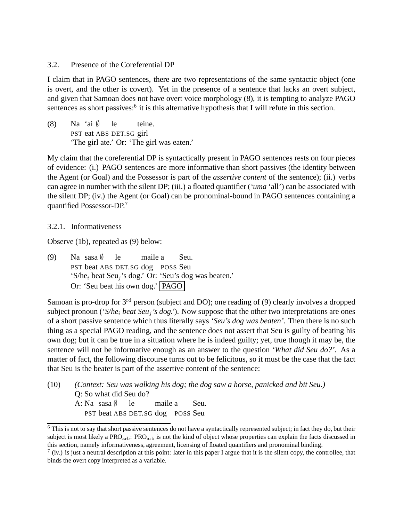#### 3.2. Presence of the Coreferential DP

I claim that in PAGO sentences, there are two representations of the same syntactic object (one is overt, and the other is covert). Yet in the presence of a sentence that lacks an overt subject, and given that Samoan does not have overt voice morphology (8), it is tempting to analyze PAGO sentences as short passives:<sup>6</sup> it is this alternative hypothesis that I will refute in this section.

 $(8)$ PST eat ABS DET.SG girl 'ai ∅ le teine. 'The girl ate.' Or: 'The girl was eaten.'

My claim that the coreferential DP is syntactically present in PAGO sentences rests on four pieces of evidence: (i.) PAGO sentences are more informative than short passives (the identity between the Agent (or Goal) and the Possessor is part of the *assertive content* of the sentence); (ii.) verbs can agree in number with the silent DP; (iii.) a floated quantifier (*'uma* 'all') can be associated with the silent DP; (iv.) the Agent (or Goal) can be pronominal-bound in PAGO sentences containing a quantified Possessor-DP.<sup>7</sup>

3.2.1. Informativeness

Observe (1b), repeated as (9) below:

 $(9)$ PST beat ABS DET.SG dog POSS Seu sasa ∅ le maile a Seu. 'S/he<sub>i</sub> beat Seu<sub>j</sub>'s dog.' Or: 'Seu's dog was beaten.' Or: 'Seu beat his own dog.' PAGO

Samoan is pro-drop for 3<sup>rd</sup> person (subject and DO); one reading of (9) clearly involves a dropped subject pronoun (*'S/he*<sup>i</sup> *beat Seu*<sup>j</sup> *'s dog.'*). Now suppose that the other two interpretations are ones of a short passive sentence which thus literally says *'Seu's dog was beaten'.* Then there is no such thing as a special PAGO reading, and the sentence does not assert that Seu is guilty of beating his own dog; but it can be true in a situation where he is indeed guilty; yet, true though it may be, the sentence will not be informative enough as an answer to the question *'What did Seu do?'*. As a matter of fact, the following discourse turns out to be felicitous, so it must be the case that the fact that Seu is the beater is part of the assertive content of the sentence:

(10) *(Context: Seu was walking his dog; the dog saw a horse, panicked and bit Seu.)* Q: So what did Seu do? A: Na sasa ∅ PST beat ABS DET.SG dog POSS Seu le maile a Seu.

<sup>&</sup>lt;sup>6</sup> This is not to say that short passive sentences do not have a syntactically represented subject; in fact they do, but their subject is most likely a PRO<sub>arb</sub>: PRO<sub>arb</sub> is not the kind of object whose properties can explain the facts discussed in this section, namely informativeness, agreement, licensing of floated quantifiers and pronominal binding.

 $^7$  (iv.) is just a neutral description at this point: later in this paper I argue that it is the silent copy, the controllee, that binds the overt copy interpreted as a variable.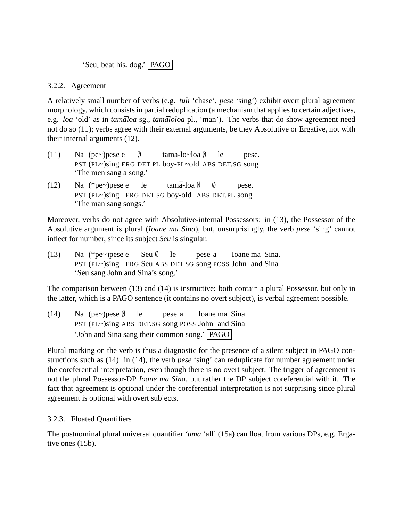'Seu<sub>i</sub> beat his<sub>i</sub> dog.' | PAGO |

### 3.2.2. Agreement

A relatively small number of verbs (e.g. *tuli* 'chase', *pese* 'sing') exhibit overt plural agreement morphology, which consists in partial reduplication (a mechanism that applies to certain adjectives, e.g. *loa* 'old' as in *tamāloa* sg., *tamāloloa* pl., 'man'). The verbs that do show agreement need not do so (11); verbs agree with their external arguments, be they Absolutive or Ergative, not with their internal arguments (12).

- $(11)$ PST (PL~)sing ERG DET.PL boy-PL~old ABS DET.SG song (pe~)pese e ∅ tam<mark>ā-lo∼loa</mark> Ø le pese. 'The men sang a song.'
- $(12)$ PST (PL~)sing ERG DET.SG boy-old ABS DET.PL song (\*pe~)pese e le tam<mark>ā-loa</mark> Ø  $\emptyset$ pese. 'The man sang songs.'

Moreover, verbs do not agree with Absolutive-internal Possessors: in (13), the Possessor of the Absolutive argument is plural (*Ioane ma Sina*), but, unsurprisingly, the verb *pese* 'sing' cannot inflect for number, since its subject *Seu* is singular.

 $(13)$ PST (PL~)sing ERG Seu ABS DET.SG song POSS John and Sina (\*pe~)pese e Seu ∅ le pese a Ioane ma Sina. 'Seu sang John and Sina's song.'

The comparison between (13) and (14) is instructive: both contain a plural Possessor, but only in the latter, which is a PAGO sentence (it contains no overt subject), is verbal agreement possible.

 $(14)$ PST (PL~)sing ABS DET.SG song POSS John and Sina (pe~)pese ∅ le pese a Ioane ma Sina. 'John and Sina sang their common song.' PAGO

Plural marking on the verb is thus a diagnostic for the presence of a silent subject in PAGO constructions such as (14): in (14), the verb *pese* 'sing' can reduplicate for number agreement under the coreferential interpretation, even though there is no overt subject. The trigger of agreement is not the plural Possessor-DP *Ioane ma Sina*, but rather the DP subject coreferential with it. The fact that agreement is optional under the coreferential interpretation is not surprising since plural agreement is optional with overt subjects.

# 3.2.3. Floated Quantifiers

The postnominal plural universal quantifier *'uma* 'all' (15a) can float from various DPs, e.g. Ergative ones (15b).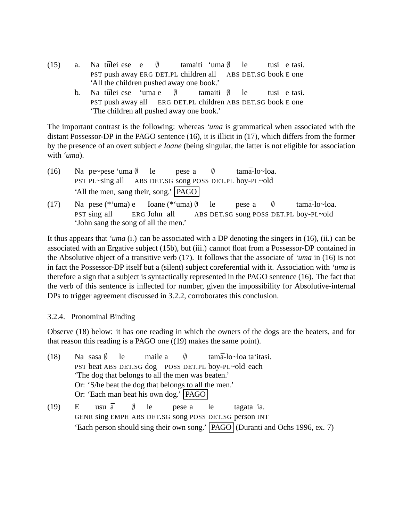- $(15)$  a. PST push away ERG DET.PL children all tūlei ese e ∅ tamaiti 'uma ∅ ABS DET.SG book E one le tusi e tasi. 'All the children pushed away one book.'
	- b. Na tūlei ese 'uma e PST push away all ERG DET.PL children ABS DET.SG book E one ∅ tamaiti ∅ le tusi e tasi. 'The children all pushed away one book.'

The important contrast is the following: whereas *'uma* is grammatical when associated with the distant Possessor-DP in the PAGO sentence (16), it is illicit in (17), which differs from the former by the presence of an overt subject *e Ioane* (being singular, the latter is not eligible for association with *'uma*).

- $(16)$ PST PL~sing all pe~pese 'uma ∅ ABS DET.SG song POSS DET.PL boy-PL~old le pese a  $\emptyset$ tamā-lo~loa. 'All the men<sub>i</sub> sang their<sub>i</sub> song.' **PAGO**
- $(17)$ PST sing all pese (\*'uma) e ERG John all Ioane (<sup>\*</sup>'uma) Ø ABS DET.SG song POSS DET.PL boy-PL~old le pese a ∅ tamā-lo~loa. 'John sang the song of all the men.'

It thus appears that *'uma* (i.) can be associated with a DP denoting the singers in (16), (ii.) can be associated with an Ergative subject (15b), but (iii.) cannot float from a Possessor-DP contained in the Absolutive object of a transitive verb (17). It follows that the associate of *'uma* in (16) is not in fact the Possessor-DP itself but a (silent) subject coreferential with it. Association with *'uma* is therefore a sign that a subject is syntactically represented in the PAGO sentence (16). The fact that the verb of this sentence is inflected for number, given the impossibility for Absolutive-internal DPs to trigger agreement discussed in 3.2.2, corroborates this conclusion.

# 3.2.4. Pronominal Binding

Observe (18) below: it has one reading in which the owners of the dogs are the beaters, and for that reason this reading is a PAGO one ((19) makes the same point).

| (18) | Na sasa $\emptyset$ le maile a $\emptyset$ tama-lo~loa ta'itasi. |                                                       |  |           |  |                                                                                   |  |  |  |  |
|------|------------------------------------------------------------------|-------------------------------------------------------|--|-----------|--|-----------------------------------------------------------------------------------|--|--|--|--|
|      | PST beat ABS DET.SG dog POSS DET.PL boy-PL~old each              |                                                       |  |           |  |                                                                                   |  |  |  |  |
|      |                                                                  | The dog that belongs to all the men was beaten.'      |  |           |  |                                                                                   |  |  |  |  |
|      | Or: 'S/he beat the dog that belongs to all the men.'             |                                                       |  |           |  |                                                                                   |  |  |  |  |
|      | Or: 'Each man beat his own dog.'   PAGO                          |                                                       |  |           |  |                                                                                   |  |  |  |  |
| (19) | Е                                                                | usu $\bar{a}$ ( <i>le</i>                             |  | pese a le |  | tagata ia.                                                                        |  |  |  |  |
|      |                                                                  | GENR sing EMPH ABS DET.SG song POSS DET.SG person INT |  |           |  |                                                                                   |  |  |  |  |
|      |                                                                  |                                                       |  |           |  | 'Each person should sing their own song.'   PAGO   (Duranti and Ochs 1996, ex. 7) |  |  |  |  |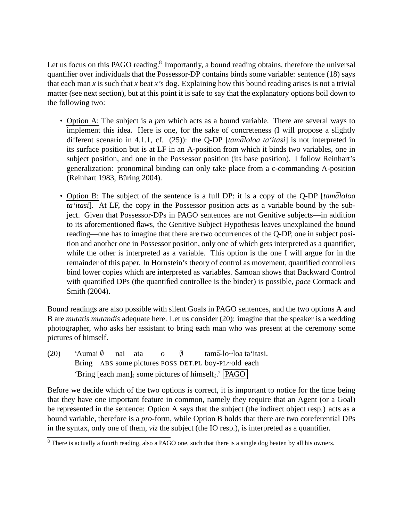Let us focus on this PAGO reading.<sup>8</sup> Importantly, a bound reading obtains, therefore the universal quantifier over individuals that the Possessor-DP contains binds some variable: sentence (18) says that each man *x* is such that *x* beat *x*'s dog. Explaining how this bound reading arises is not a trivial matter (see next section), but at this point it is safe to say that the explanatory options boil down to the following two:

- Option A: The subject is a *pro* which acts as a bound variable. There are several ways to implement this idea. Here is one, for the sake of concreteness (I will propose a slightly different scenario in 4.1.1, cf.  $(25)$ : the Q-DP [ $tamāloloa ta'itasi$ ] is not interpreted in its surface position but is at LF in an A-position from which it binds two variables, one in subject position, and one in the Possessor position (its base position). I follow Reinhart's generalization: pronominal binding can only take place from a c-commanding A-position (Reinhart 1983, Büring 2004).
- Option B: The subject of the sentence is a full DP: it is a copy of the Q-DP [tamaloloa *ta'itasi*]. At LF, the copy in the Possessor position acts as a variable bound by the subject. Given that Possessor-DPs in PAGO sentences are not Genitive subjects—in addition to its aforementioned flaws, the Genitive Subject Hypothesis leaves unexplained the bound reading—one has to imagine that there are two occurrences of the Q-DP, one in subject position and another one in Possessor position, only one of which gets interpreted as a quantifier, while the other is interpreted as a variable. This option is the one I will argue for in the remainder of this paper. In Hornstein's theory of control as movement, quantified controllers bind lower copies which are interpreted as variables. Samoan shows that Backward Control with quantified DPs (the quantified controllee is the binder) is possible, *pace* Cormack and Smith (2004).

Bound readings are also possible with silent Goals in PAGO sentences, and the two options A and B are *mutatis mutandis* adequate here. Let us consider (20): imagine that the speaker is a wedding photographer, who asks her assistant to bring each man who was present at the ceremony some pictures of himself.

(20) 'Aumai ∅ Bring ABS some pictures POSS DET.PL boy-PL~old each nai ata o ∅ tamā-lo~loa taʻitasi. 'Bring [each man]<sub>i</sub> some pictures of himself<sub>i</sub>.'  $\Box$ PAGO

Before we decide which of the two options is correct, it is important to notice for the time being that they have one important feature in common, namely they require that an Agent (or a Goal) be represented in the sentence: Option A says that the subject (the indirect object resp.) acts as a bound variable, therefore is a *pro-*form, while Option B holds that there are two coreferential DPs in the syntax, only one of them, *viz* the subject (the IO resp.), is interpreted as a quantifier.

<sup>&</sup>lt;sup>8</sup> There is actually a fourth reading, also a PAGO one, such that there is a single dog beaten by all his owners.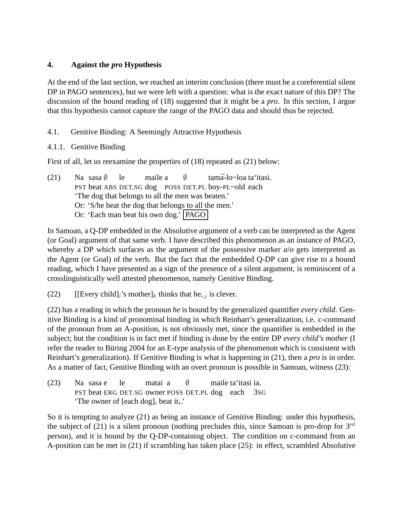# **4. Against the** *pro* **Hypothesis**

At the end of the last section, we reached an interim conclusion (there must be a coreferential silent DP in PAGO sentences), but we were left with a question: what is the exact nature of this DP? The discussion of the bound reading of (18) suggested that it might be a *pro*. In this section, I argue that this hypothesis cannot capture the range of the PAGO data and should thus be rejected.

# 4.1. Genitive Binding: A Seemingly Attractive Hypothesis

# 4.1.1. Genitive Binding

First of all, let us reexamine the properties of (18) repeated as (21) below:

| (21) | Na sasa $\emptyset$ le |                                                  | maile a | $\sqrt{ }$ | tamā-lo~loa ta'itasi.                                |
|------|------------------------|--------------------------------------------------|---------|------------|------------------------------------------------------|
|      |                        |                                                  |         |            | PST beat ABS DET.SG dog POSS DET.PL boy-PL~old each  |
|      |                        | The dog that belongs to all the men was beaten.' |         |            |                                                      |
|      |                        |                                                  |         |            | Or: 'S/he beat the dog that belongs to all the men.' |
|      |                        | Or: 'Each man beat his own dog.'   PAGO          |         |            |                                                      |

In Samoan, a Q-DP embedded in the Absolutive argument of a verb can be interpreted as the Agent (or Goal) argument of that same verb. I have described this phenomenon as an instance of PAGO, whereby a DP which surfaces as the argument of the possessive marker *a*/*o* gets interpreted as the Agent (or Goal) of the verb. But the fact that the embedded Q-DP can give rise to a bound reading, which I have presented as a sign of the presence of a silent argument, is reminiscent of a crosslinguistically well attested phenomenon, namely Genitive Binding.

(22) [[Every child]<sub>i</sub>'s mother]<sub>k</sub> thinks that he<sub>i,j</sub> is clever.

(22) has a reading in which the pronoun *he* is bound by the generalized quantifier *every child*. Genitive Binding is a kind of pronominal binding in which Reinhart's generalization, i.e. c-command of the pronoun from an A-position, is not obviously met, since the quantifier is embedded in the subject; but the condition is in fact met if binding is done by the entire DP *every child's mother* (I refer the reader to Büring 2004 for an E-type analysis of the phenomenon which is consistent with Reinhart's generalization). If Genitive Binding is what is happening in (21), then a *pro* is in order. As a matter of fact, Genitive Binding with an overt pronoun is possible in Samoan, witness (23):

 $(23)$ PST beat ERG DET.SG owner POSS DET.PL dog each sasa e le matai a  $\emptyset$ maile ta'itasi ia. 3SG 'The owner of [each dog]<sub>i</sub> beat it<sub>i</sub>.'

So it is tempting to analyze (21) as being an instance of Genitive Binding: under this hypothesis, the subject of (21) is a silent pronoun (nothing precludes this, since Samoan is pro-drop for  $3<sup>rd</sup>$ person), and it is bound by the Q-DP-containing object. The condition on c-command from an A-position can be met in (21) if scrambling has taken place (25): in effect, scrambled Absolutive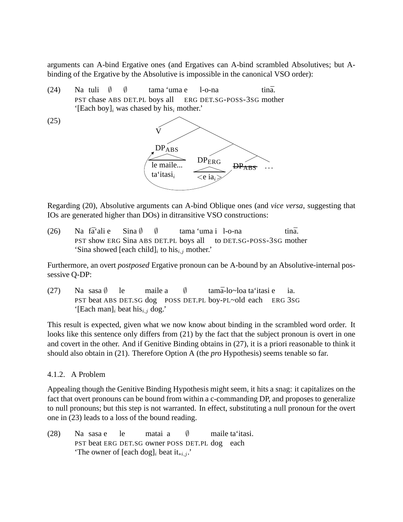arguments can A-bind Ergative ones (and Ergatives can A-bind scrambled Absolutives; but Abinding of the Ergative by the Absolutive is impossible in the canonical VSO order):

 $(24)$ PST chase ABS DET.PL boys all ERG DET.SG-POSS-3SG mother tuli ∅ ∅ tama 'uma e l-o-na tinā. '[Each boy]<sub>i</sub> was chased by his<sub>i</sub> mother.'



Regarding (20), Absolutive arguments can A-bind Oblique ones (and *vice versa*, suggesting that IOs are generated higher than DOs) in ditransitive VSO constructions:

 $(26)$ PST show ERG Sina ABS DET.PL boys all fā'ali e Sina ∅ ∅ tama 'uma i l-o-na to DET.SG-POSS-3SG mother tinā. 'Sina showed [each child] $_i$  to his $_{i,j}$  mother.'

Furthermore, an overt *postposed* Ergative pronoun can be A-bound by an Absolutive-internal possessive Q-DP:

 $(27)$ PST beat ABS DET.SG dog POSS DET.PL boy-PL~old each ERG 3SG sasa ∅ le maile a  $\emptyset$ tamā-lo~loa taʻitasi e ia. '[Each man]<sub>i</sub> beat his<sub>i,j</sub> dog.'

This result is expected, given what we now know about binding in the scrambled word order. It looks like this sentence only differs from (21) by the fact that the subject pronoun is overt in one and covert in the other. And if Genitive Binding obtains in (27), it is a priori reasonable to think it should also obtain in (21). Therefore Option A (the *pro* Hypothesis) seems tenable so far.

# 4.1.2. A Problem

Appealing though the Genitive Binding Hypothesis might seem, it hits a snag: it capitalizes on the fact that overt pronouns can be bound from within a c-commanding DP, and proposes to generalize to null pronouns; but this step is not warranted. In effect, substituting a null pronoun for the overt one in (23) leads to a loss of the bound reading.

 $(28)$ PST beat ERG DET.SG owner POSS DET.PL dog each sasa e le matai a  $\emptyset$ maile ta'itasi. 'The owner of [each dog]<sub>i</sub> beat it<sub>\**i*,*j*</sub>.'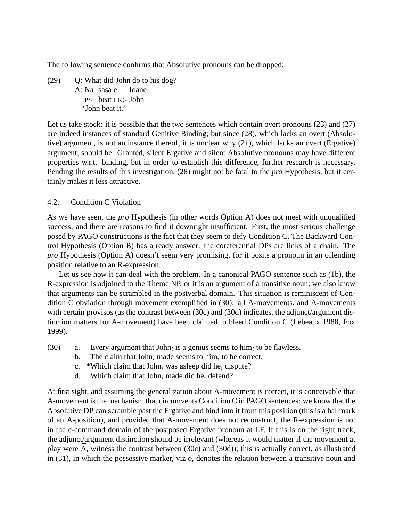The following sentence confirms that Absolutive pronouns can be dropped:

(29) Q: What did John do to his dog? A: Na sasa e PST beat ERG John Ioane. 'John beat it.'

Let us take stock: it is possible that the two sentences which contain overt pronouns (23) and (27) are indeed instances of standard Genitive Binding; but since (28), which lacks an overt (Absolutive) argument, is not an instance thereof, it is unclear why (21), which lacks an overt (Ergative) argument, should be. Granted, silent Ergative and silent Absolutive pronouns may have different properties w.r.t. binding, but in order to establish this difference, further research is necessary. Pending the results of this investigation, (28) might not be fatal to the *pro* Hypothesis, but it certainly makes it less attractive.

### 4.2. Condition C Violation

As we have seen, the *pro* Hypothesis (in other words Option A) does not meet with unqualified success; and there are reasons to find it downright insufficient. First, the most serious challenge posed by PAGO constructions is the fact that they seem to defy Condition C. The Backward Control Hypothesis (Option B) has a ready answer: the coreferential DPs are links of a chain. The *pro* Hypothesis (Option A) doesn't seem very promising, for it posits a pronoun in an offending position relative to an R-expression.

Let us see how it can deal with the problem. In a canonical PAGO sentence such as (1b), the R-expression is adjoined to the Theme NP, or it is an argument of a transitive noun; we also know that arguments can be scrambled in the postverbal domain. This situation is reminiscent of Condition C obviation through movement exemplified in (30): all A-movements, and  $\bar{A}$ -movements with certain provisos (as the contrast between (30c) and (30d) indicates, the adjunct/argument distinction matters for  $\bar{A}$ -movement) have been claimed to bleed Condition C (Lebeaux 1988, Fox 1999).

- (30) a. Every argument that John<sub>i</sub> is a genius seems to him<sub>i</sub> to be flawless.
	- b. The claim that  $John_i$  made seems to him<sub>i</sub> to be correct.
	- c. \*Which claim that John<sub>i</sub> was asleep did he<sub>i</sub> dispute?
	- d. Which claim that  $John_i$  made did he<sub>i</sub> defend?

At first sight, and assuming the generalization about A-movement is correct, it is conceivable that A-movement is the mechanism that circumvents Condition C in PAGO sentences: we know that the Absolutive DP can scramble past the Ergative and bind into it from this position (this is a hallmark of an A-position), and provided that A-movement does not reconstruct, the R-expression is not in the c-command domain of the postposed Ergative pronoun at LF. If this is on the right track, the adjunct/argument distinction should be irrelevant (whereas it would matter if the movement at play were  $\bar{A}$ , witness the contrast between (30c) and (30d)); this is actually correct, as illustrated in (31), in which the possessive marker, viz *o,* denotes the relation between a transitive noun and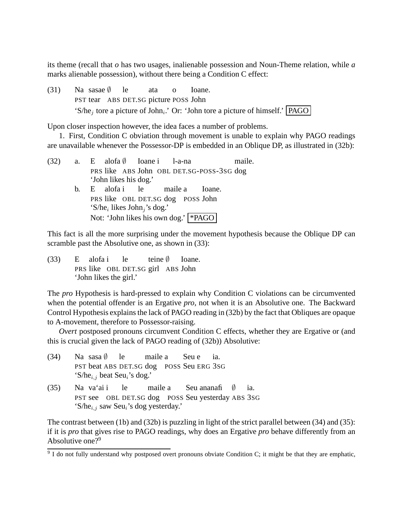its theme (recall that *o* has two usages, inalienable possession and Noun-Theme relation, while *a* marks alienable possession), without there being a Condition C effect:

 $(31)$ PST tear ABS DET.SG picture POSS John sasae ∅ le ata o Ioane. 'S/he<sub>j</sub> tore a picture of John<sub>i</sub>.' Or: 'John tore a picture of himself.' **PAGO** 

Upon closer inspection however, the idea faces a number of problems.

1. First, Condition C obviation through movement is unable to explain why PAGO readings are unavailable whenever the Possessor-DP is embedded in an Oblique DP, as illustrated in (32b):

| (32) |    | a. E alofa $\emptyset$ Ioane i 1-a-na                                                    |  |  |  | maile. |  |  |  |
|------|----|------------------------------------------------------------------------------------------|--|--|--|--------|--|--|--|
|      |    | PRS like ABS John OBL DET.SG-POSS-3SG dog                                                |  |  |  |        |  |  |  |
|      |    | 'John likes his dog.'                                                                    |  |  |  |        |  |  |  |
|      | b. | E alofa i le maile a Ioane.                                                              |  |  |  |        |  |  |  |
|      |    | PRS like OBL DET.SG dog POSS John<br>'S/he <sub>i</sub> likes John <sub>i</sub> 's dog.' |  |  |  |        |  |  |  |
|      |    | Not: 'John likes his own dog.'   *PAGO                                                   |  |  |  |        |  |  |  |

This fact is all the more surprising under the movement hypothesis because the Oblique DP can scramble past the Absolutive one, as shown in  $(33)$ :

 $(33)$ PRS like OBL DET.SG girl ABS John alofa i le teine ∅ Ioane. 'John likes the girl.'

The *pro* Hypothesis is hard-pressed to explain why Condition C violations can be circumvented when the potential offender is an Ergative *pro,* not when it is an Absolutive one. The Backward Control Hypothesis explains the lack of PAGO reading in (32b) by the fact that Obliques are opaque to A-movement, therefore to Possessor-raising.

*Overt* postposed pronouns circumvent Condition C effects, whether they are Ergative or (and this is crucial given the lack of PAGO reading of (32b)) Absolutive:

- $(34)$ PST beat ABS DET.SG dog POSS Seu ERG 3SG sasa ∅ le maile a Seu e ia. 'S/he $_{i,j}$  beat Seu<sub>i</sub>'s dog.'
- $(35)$ PST see OBL DET.SG dog POSS Seu yesterday ABS 3SG va'ai i le maile a Seu ananafi ∅ ia. 'S/he $_{i,j}$  saw Seu<sub>i</sub>'s dog yesterday.'

The contrast between (1b) and (32b) is puzzling in light of the strict parallel between (34) and (35): if it is *pro* that gives rise to PAGO readings, why does an Ergative *pro* behave differently from an Absolutive one? $9^9$ 

 $9$  I do not fully understand why postposed overt pronouns obviate Condition C; it might be that they are emphatic,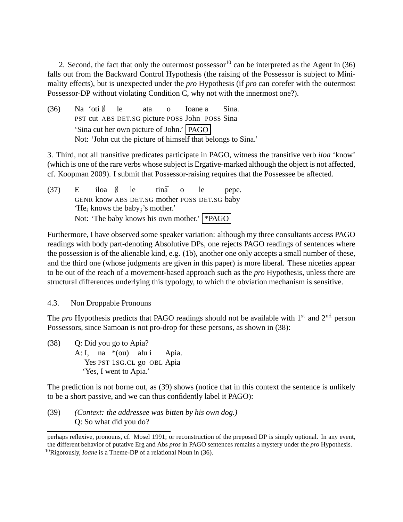2. Second, the fact that only the outermost possessor<sup>10</sup> can be interpreted as the Agent in (36) falls out from the Backward Control Hypothesis (the raising of the Possessor is subject to Minimality effects), but is unexpected under the *pro* Hypothesis (if *pro* can corefer with the outermost Possessor-DP without violating Condition C, why not with the innermost one?).

 $(36)$ PST cut ABS DET.SG picture POSS John POSS Sina 'oti ∅ le ata o Ioane a Sina. 'Sina cut her own picture of John.' PAGO Not: 'John cut the picture of himself that belongs to Sina.'

3. Third, not all transitive predicates participate in PAGO, witness the transitive verb *iloa* 'know' (which is one of the rare verbs whose subject is Ergative-marked although the object is not affected, cf. Koopman 2009). I submit that Possessor-raising requires that the Possessee be affected.

(37) E GENR know ABS DET.SG mother POSS DET.SG baby iloa ∅ le tina o le pepe. 'He<sub>i</sub> knows the baby<sub>j</sub>'s mother.' Not: 'The baby knows his own mother.' \* PAGO

Furthermore, I have observed some speaker variation: although my three consultants access PAGO readings with body part-denoting Absolutive DPs, one rejects PAGO readings of sentences where the possession is of the alienable kind, e.g. (1b), another one only accepts a small number of these, and the third one (whose judgments are given in this paper) is more liberal. These niceties appear to be out of the reach of a movement-based approach such as the *pro* Hypothesis, unless there are structural differences underlying this typology, to which the obviation mechanism is sensitive.

4.3. Non Droppable Pronouns

The *pro* Hypothesis predicts that PAGO readings should not be available with  $1<sup>st</sup>$  and  $2<sup>nd</sup>$  person Possessors, since Samoan is not pro-drop for these persons, as shown in (38):

(38) Q: Did you go to Apia? A: I, na \*(ou) alu i Yes PST 1SG.CL go OBL Apia Apia. 'Yes, I went to Apia.'

The prediction is not borne out, as (39) shows (notice that in this context the sentence is unlikely to be a short passive, and we can thus confidently label it PAGO):

(39) *(Context: the addressee was bitten by his own dog.)* Q: So what did you do?

perhaps reflexive, pronouns, cf. Mosel 1991; or reconstruction of the preposed DP is simply optional. In any event, the different behavior of putative Erg and Abs *pros* in PAGO sentences remains a mystery under the *pro* Hypothesis. <sup>10</sup>Rigorously, *Ioane* is a Theme-DP of a relational Noun in (36).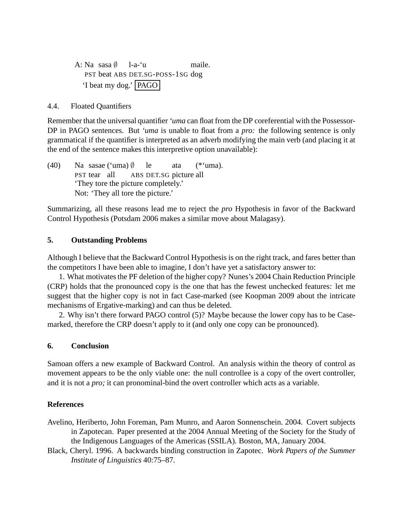A: Na sasa ∅ PST beat ABS DET.SG-POSS-1SG dog l-a-'u maile. 'I beat my dog.' PAGO

4.4. Floated Quantifiers

Remember that the universal quantifier *'uma* can float from the DP coreferential with the Possessor-DP in PAGO sentences. But *'uma* is unable to float from a *pro:* the following sentence is only grammatical if the quantifier is interpreted as an adverb modifying the main verb (and placing it at the end of the sentence makes this interpretive option unavailable):

 $(40)$ PST tear all sasae ('uma)  $\emptyset$ ABS DET.SG picture all le ata  $(*`uma).$ 'They tore the picture completely.' Not: 'They all tore the picture.'

Summarizing, all these reasons lead me to reject the *pro* Hypothesis in favor of the Backward Control Hypothesis (Potsdam 2006 makes a similar move about Malagasy).

### **5. Outstanding Problems**

Although I believe that the Backward Control Hypothesis is on the right track, and fares better than the competitors I have been able to imagine, I don't have yet a satisfactory answer to:

1. What motivates the PF deletion of the higher copy? Nunes's 2004 Chain Reduction Principle (CRP) holds that the pronounced copy is the one that has the fewest unchecked features: let me suggest that the higher copy is not in fact Case-marked (see Koopman 2009 about the intricate mechanisms of Ergative-marking) and can thus be deleted.

2. Why isn't there forward PAGO control (5)? Maybe because the lower copy has to be Casemarked, therefore the CRP doesn't apply to it (and only one copy can be pronounced).

### **6. Conclusion**

Samoan offers a new example of Backward Control. An analysis within the theory of control as movement appears to be the only viable one: the null controllee is a copy of the overt controller, and it is not a *pro;* it can pronominal-bind the overt controller which acts as a variable.

# **References**

- Avelino, Heriberto, John Foreman, Pam Munro, and Aaron Sonnenschein. 2004. Covert subjects in Zapotecan. Paper presented at the 2004 Annual Meeting of the Society for the Study of the Indigenous Languages of the Americas (SSILA). Boston, MA, January 2004.
- Black, Cheryl. 1996. A backwards binding construction in Zapotec. *Work Papers of the Summer Institute of Linguistics* 40:75–87.